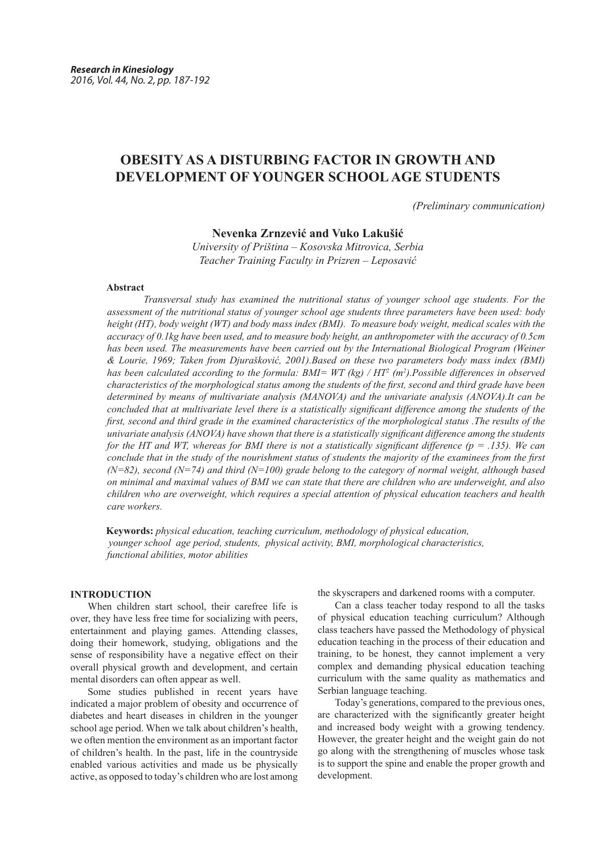# **OBESITY AS A DISTURBING FACTOR IN GROWTH AND DEVELOPMENT OF YOUNGER SCHOOL AGE STUDENTS**

*(Preliminary communication)*

**Nevenka Zrnzević and Vuko Lakušić**

*University of Priština – Kosovska Mitrovica, Serbia Teacher Training Faculty in Prizren – Leposavić* 

#### **Abstract**

*Transversal study has examined the nutritional status of younger school age students. For the assessment of the nutritional status of younger school age students three parameters have been used: body height (HT), body weight (WT) and body mass index (BMI). To measure body weight, medical scales with the accuracy of 0.1kg have been used, and to measure body height, an anthropometer with the accuracy of 0.5cm has been used. The measurements have been carried out by the International Biological Program (Weiner & Lourie, 1969; Taken from Djurašković, 2001).Based on these two parameters body mass index (BMI) has been calculated according to the formula: BMI= WT (kg) / HT2 (m<sup>2</sup> ).Possible differences in observed characteristics of the morphological status among the students of the first, second and third grade have been determined by means of multivariate analysis (MANOVA) and the univariate analysis (ANOVA).It can be concluded that at multivariate level there is a statistically significant difference among the students of the first, second and third grade in the examined characteristics of the morphological status .The results of the univariate analysis (ANOVA) have shown that there is a statistically significant difference among the students for the HT and WT, whereas for BMI there is not a statistically significant difference (p = .135). We can conclude that in the study of the nourishment status of students the majority of the examinees from the first (N=82), second (N=74) and third (N=100) grade belong to the category of normal weight, although based on minimal and maximal values of BMI we can state that there are children who are underweight, and also children who are overweight, which requires a special attention of physical education teachers and health care workers.*

 **Keywords:** *physical education, teaching curriculum, methodology of physical education, younger school age period, students, physical activity, BMI, morphological characteristics, functional abilities, motor abilities*

## **INTRODUCTION**

When children start school, their carefree life is over, they have less free time for socializing with peers, entertainment and playing games. Attending classes, doing their homework, studying, obligations and the sense of responsibility have a negative effect on their overall physical growth and development, and certain mental disorders can often appear as well.

Some studies published in recent years have indicated a major problem of obesity and occurrence of diabetes and heart diseases in children in the younger school age period. When we talk about children's health, we often mention the environment as an important factor of children's health. In the past, life in the countryside enabled various activities and made us be physically active, as opposed to today's children who are lost among

the skyscrapers and darkened rooms with a computer.

Can a class teacher today respond to all the tasks of physical education teaching curriculum? Although class teachers have passed the Methodology of physical education teaching in the process of their education and training, to be honest, they cannot implement a very complex and demanding physical education teaching curriculum with the same quality as mathematics and Serbian language teaching.

Today's generations, compared to the previous ones, are characterized with the significantly greater height and increased body weight with a growing tendency. However, the greater height and the weight gain do not go along with the strengthening of muscles whose task is to support the spine and enable the proper growth and development.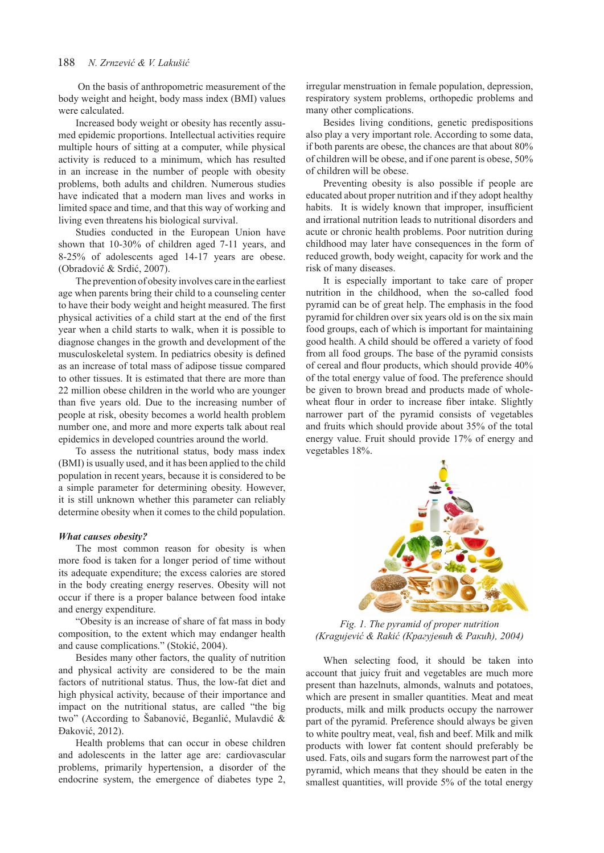On the basis of anthropometric measurement of the body weight and height, body mass index (BMI) values were calculated.

Increased body weight or obesity has recently assumed epidemic proportions. Intellectual activities require multiple hours of sitting at a computer, while physical activity is reduced to a minimum, which has resulted in an increase in the number of people with obesity problems, both adults and children. Numerous studies have indicated that a modern man lives and works in limited space and time, and that this way of working and living even threatens his biological survival.

Studies conducted in the European Union have shown that 10-30% of children aged 7-11 years, and 8-25% of adolescents aged 14-17 years are obese. (Obradović & Srdić, 2007).

The prevention of obesity involves care in the earliest age when parents bring their child to a counseling center to have their body weight and height measured. The first physical activities of a child start at the end of the first year when a child starts to walk, when it is possible to diagnose changes in the growth and development of the musculoskeletal system. In pediatrics obesity is defined as an increase of total mass of adipose tissue compared to other tissues. It is estimated that there are more than 22 million obese children in the world who are younger than five years old. Due to the increasing number of people at risk, obesity becomes a world health problem number one, and more and more experts talk about real epidemics in developed countries around the world.

To assess the nutritional status, body mass index (BMI) is usually used, and it has been applied to the child population in recent years, because it is considered to be a simple parameter for determining obesity. However, it is still unknown whether this parameter can reliably determine obesity when it comes to the child population.

#### *What causes obesity?*

The most common reason for obesity is when more food is taken for a longer period of time without its adequate expenditure; the excess calories are stored in the body creating energy reserves. Obesity will not occur if there is a proper balance between food intake and energy expenditure.

"Obesity is an increase of share of fat mass in body composition, to the extent which may endanger health and cause complications." (Stokić, 2004).

Besides many other factors, the quality of nutrition and physical activity are considered to be the main factors of nutritional status. Thus, the low-fat diet and high physical activity, because of their importance and impact on the nutritional status, are called "the big two" (According to Šabanović, Beganlić, Mulavdić & Đaković, 2012).

Health problems that can occur in obese children and adolescents in the latter age are: cardiovascular problems, primarily hypertension, a disorder of the endocrine system, the emergence of diabetes type 2, irregular menstruation in female population, depression, respiratory system problems, orthopedic problems and many other complications.

Besides living conditions, genetic predispositions also play a very important role. According to some data, if both parents are obese, the chances are that about 80% of children will be obese, and if one parent is obese, 50% of children will be obese.

Preventing obesity is also possible if people are educated about proper nutrition and if they adopt healthy habits. It is widely known that improper, insufficient and irrational nutrition leads to nutritional disorders and acute or chronic health problems. Poor nutrition during childhood may later have consequences in the form of reduced growth, body weight, capacity for work and the risk of many diseases.

It is especially important to take care of proper nutrition in the childhood, when the so-called food pyramid can be of great help. The emphasis in the food pyramid for children over six years old is on the six main food groups, each of which is important for maintaining good health. A child should be offered a variety of food from all food groups. The base of the pyramid consists of cereal and flour products, which should provide 40% of the total energy value of food. The preference should be given to brown bread and products made of wholewheat flour in order to increase fiber intake. Slightly narrower part of the pyramid consists of vegetables and fruits which should provide about 35% of the total energy value. Fruit should provide 17% of energy and vegetables 18%.



*Fig. 1. The pyramid of proper nutrition (Kragujević & Rakić (Крагујевић & Ракић), 2004)* 

When selecting food, it should be taken into account that juicy fruit and vegetables are much more present than hazelnuts, almonds, walnuts and potatoes, which are present in smaller quantities. Meat and meat products, milk and milk products occupy the narrower part of the pyramid. Preference should always be given to white poultry meat, veal, fish and beef. Milk and milk products with lower fat content should preferably be used. Fats, oils and sugars form the narrowest part of the pyramid, which means that they should be eaten in the smallest quantities, will provide 5% of the total energy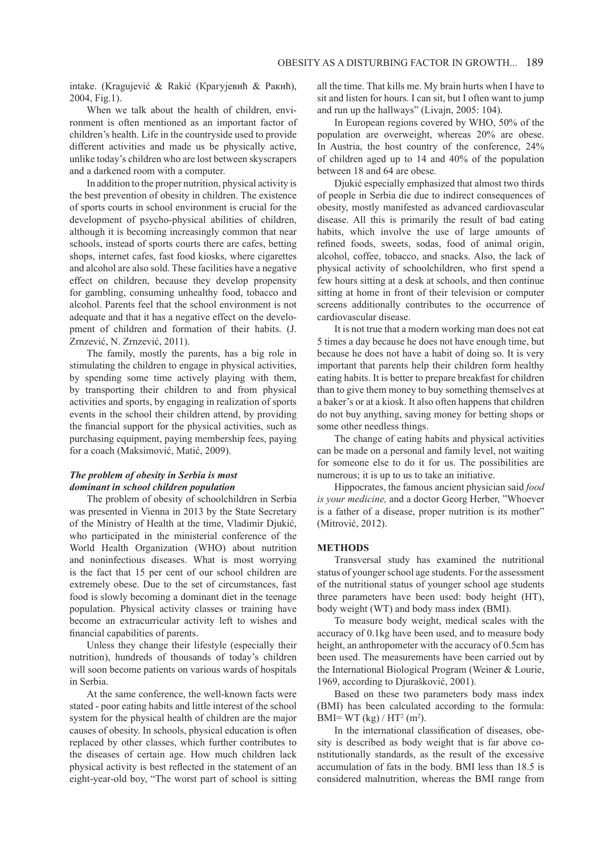intake. (Kragujević & Rakić (Крагујевић & Ракић), 2004, Fig.1).

When we talk about the health of children, environment is often mentioned as an important factor of children's health. Life in the countryside used to provide different activities and made us be physically active, unlike today's children who are lost between skyscrapers and a darkened room with a computer.

In addition to the proper nutrition, physical activity is the best prevention of obesity in children. The existence of sports courts in school environment is crucial for the development of psycho-physical abilities of children, although it is becoming increasingly common that near schools, instead of sports courts there are cafes, betting shops, internet cafes, fast food kiosks, where cigarettes and alcohol are also sold. These facilities have a negative effect on children, because they develop propensity for gambling, consuming unhealthy food, tobacco and alcohol. Parents feel that the school environment is not adequate and that it has a negative effect on the development of children and formation of their habits. (J. Zrnzević, N. Zrnzević, 2011).

The family, mostly the parents, has a big role in stimulating the children to engage in physical activities, by spending some time actively playing with them, by transporting their children to and from physical activities and sports, by engaging in realization of sports events in the school their children attend, by providing the financial support for the physical activities, such as purchasing equipment, paying membership fees, paying for a coach (Maksimović, Matić, 2009).

# *The problem of obesity in Serbia is most dominant in school children population*

The problem of obesity of schoolchildren in Serbia was presented in Vienna in 2013 by the State Secretary of the Ministry of Health at the time, Vladimir Djukić, who participated in the ministerial conference of the World Health Organization (WHO) about nutrition and noninfectious diseases. What is most worrying is the fact that 15 per cent of our school children are extremely obese. Due to the set of circumstances, fast food is slowly becoming a dominant diet in the teenage population. Physical activity classes or training have become an extracurricular activity left to wishes and financial capabilities of parents.

Unless they change their lifestyle (especially their nutrition), hundreds of thousands of today's children will soon become patients on various wards of hospitals in Serbia.

At the same conference, the well-known facts were stated - poor eating habits and little interest of the school system for the physical health of children are the major causes of obesity. In schools, physical education is often replaced by other classes, which further contributes to the diseases of certain age. How much children lack physical activity is best reflected in the statement of an eight-year-old boy, "The worst part of school is sitting all the time. That kills me. My brain hurts when I have to sit and listen for hours. I can sit, but I often want to jump and run up the hallways" (Livajn, 2005: 104).

In European regions covered by WHO, 50% of the population are overweight, whereas 20% are obese. In Austria, the host country of the conference, 24% of children aged up to 14 and 40% of the population between 18 and 64 are obese.

Djukić especially emphasized that almost two thirds of people in Serbia die due to indirect consequences of obesity, mostly manifested as advanced cardiovascular disease. All this is primarily the result of bad eating habits, which involve the use of large amounts of refined foods, sweets, sodas, food of animal origin, alcohol, coffee, tobacco, and snacks. Also, the lack of physical activity of schoolchildren, who first spend a few hours sitting at a desk at schools, and then continue sitting at home in front of their television or computer screens additionally contributes to the occurrence of cardiovascular disease.

It is not true that a modern working man does not eat 5 times a day because he does not have enough time, but because he does not have a habit of doing so. It is very important that parents help their children form healthy eating habits. It is better to prepare breakfast for children than to give them money to buy something themselves at a baker's or at a kiosk. It also often happens that children do not buy anything, saving money for betting shops or some other needless things.

The change of eating habits and physical activities can be made on a personal and family level, not waiting for someone else to do it for us. The possibilities are numerous; it is up to us to take an initiative.

Hippocrates, the famous ancient physician said *food is your medicine,* and a doctor Georg Herber, "Whoever is a father of a disease, proper nutrition is its mother" (Mitrović, 2012).

### **METHODS**

Transversal study has examined the nutritional status of younger school age students. For the assessment of the nutritional status of younger school age students three parameters have been used: body height (HT), body weight (WT) and body mass index (BMI).

To measure body weight, medical scales with the accuracy of 0.1kg have been used, and to measure body height, an anthropometer with the accuracy of 0.5cm has been used. The measurements have been carried out by the International Biological Program (Weiner & Lourie, 1969, according to Djurašković, 2001).

Based on these two parameters body mass index (BMI) has been calculated according to the formula: BMI= WT (kg) / HT<sup>2</sup> (m<sup>2</sup>).

In the international classification of diseases, obesity is described as body weight that is far above constitutionally standards, as the result of the excessive accumulation of fats in the body. BMI less than 18.5 is considered malnutrition, whereas the BMI range from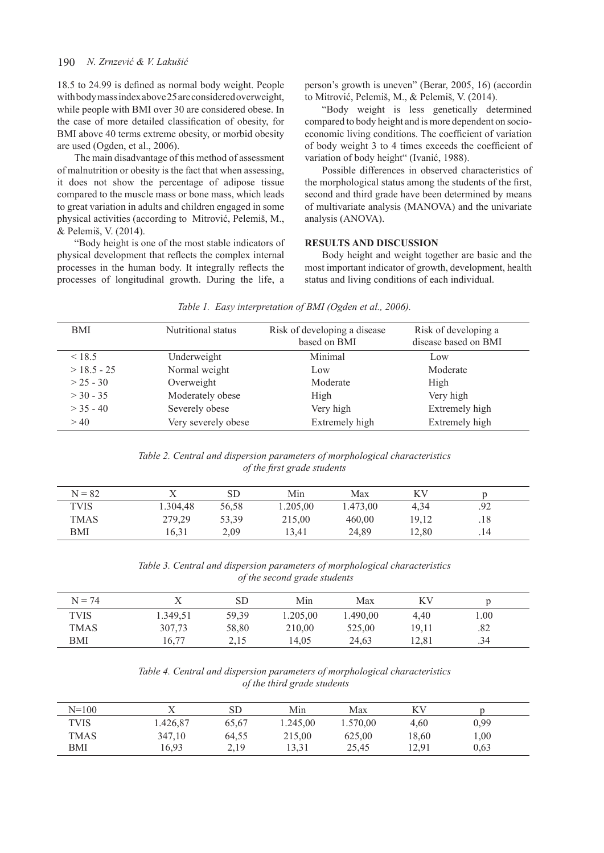#### 190 *N. Zrnzević & V. Lakušić*

18.5 to 24.99 is defined as normal body weight. People with body mass index above 25 are considered overweight, while people with BMI over 30 are considered obese. In the case of more detailed classification of obesity, for BMI above 40 terms extreme obesity, or morbid obesity are used (Ogden, et al., 2006).

The main disadvantage of this method of assessment of malnutrition or obesity is the fact that when assessing, it does not show the percentage of adipose tissue compared to the muscle mass or bone mass, which leads to great variation in adults and children engaged in some physical activities (according to Mitrović, Pelemiš, M., & Pelemiš, V. (2014).

"Body height is one of the most stable indicators of physical development that reflects the complex internal processes in the human body. It integrally reflects the processes of longitudinal growth. During the life, a

person's growth is uneven" (Berar, 2005, 16) (accordin to Mitrović, Pelemiš, M., & Pelemiš, V. (2014).

"Body weight is less genetically determined compared to body height and is more dependent on socioeconomic living conditions. The coefficient of variation of body weight 3 to 4 times exceeds the coefficient of variation of body height" (Ivanić, 1988).

Possible differences in observed characteristics of the morphological status among the students of the first, second and third grade have been determined by means of multivariate analysis (MANOVA) and the univariate analysis (ANOVA).

#### **RESULTS AND DISCUSSION**

Body height and weight together are basic and the most important indicator of growth, development, health status and living conditions of each individual.

| BMI          | Nutritional status  | Risk of developing a disease<br>based on BMI | Risk of developing a<br>disease based on BMI |
|--------------|---------------------|----------------------------------------------|----------------------------------------------|
| < 18.5       | Underweight         | Minimal                                      | Low                                          |
| $>18.5 - 25$ | Normal weight       | Low.                                         | Moderate                                     |
| $> 25 - 30$  | Overweight          | Moderate                                     | High                                         |
| $>$ 30 - 35  | Moderately obese    | High                                         | Very high                                    |
| $>$ 35 - 40  | Severely obese      | Very high                                    | Extremely high                               |
| > 40         | Very severely obese | Extremely high                               | Extremely high                               |

#### *Table 1. Easy interpretation of BMI (Ogden et al., 2006).*

*Table 2. Central and dispersion parameters of morphological characteristics of the first grade students*

| $N = 82$    |          | SD    | Min      | Max      | ΚV    |     |  |
|-------------|----------|-------|----------|----------|-------|-----|--|
| <b>TVIS</b> | 1.304,48 | 56,58 | 1.205,00 | 1.473,00 | 4,34  | .92 |  |
| TMAS        | 279,29   | 53,39 | 215,00   | 460,00   | 19,12 | .18 |  |
| BMI         | 16,31    | 2,09  | 13.41    | 24,89    | 12,80 | .14 |  |

*Table 3. Central and dispersion parameters of morphological characteristics of the second grade students*

| $N = 74$    |          | SD    | Min      | Max      | ΚV    |      |  |
|-------------|----------|-------|----------|----------|-------|------|--|
| <b>TVIS</b> | 1.349,51 | 59,39 | 1.205,00 | 1.490,00 | 4.40  | 1.00 |  |
| <b>TMAS</b> | 307,73   | 58,80 | 210,00   | 525,00   | 19,11 | .82  |  |
| BMI         | 16,77    | 2,15  | 14.05    | 24,63    | 12.81 | .34  |  |

# *Table 4. Central and dispersion parameters of morphological characteristics of the third grade students*

| $N = 100$   |          | SD    | Min      | Max      | ΚV    |      |  |
|-------------|----------|-------|----------|----------|-------|------|--|
| <b>TVIS</b> | 1.426,87 | 65,67 | 1.245,00 | 1.570,00 | 4.60  | 0,99 |  |
| <b>TMAS</b> | 347,10   | 64,55 | 215,00   | 625,00   | 18,60 | 00,1 |  |
| BMI         | 16,93    | 2,19  | 13.31    | 25,45    | 12,91 | 0,63 |  |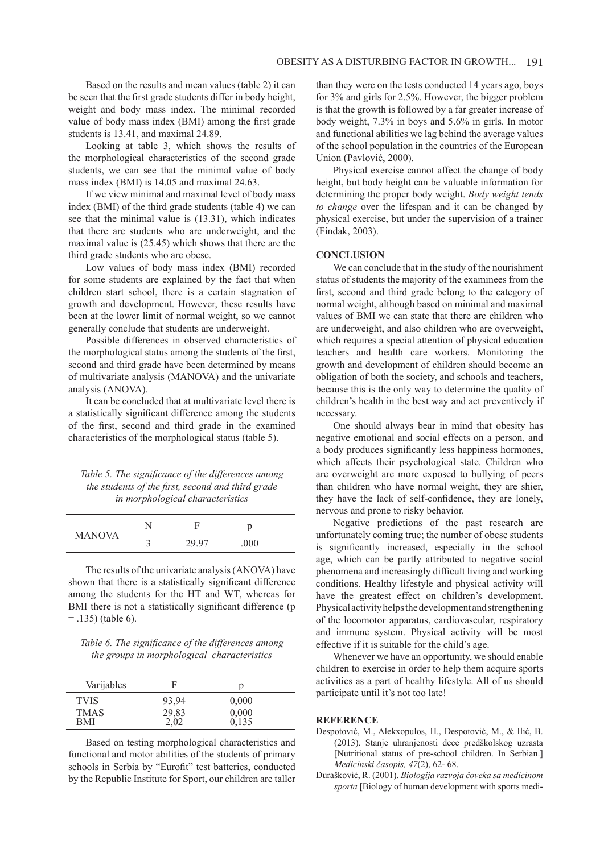Based on the results and mean values (table 2) it can be seen that the first grade students differ in body height, weight and body mass index. The minimal recorded value of body mass index (BMI) among the first grade students is 13.41, and maximal 24.89.

Looking at table 3, which shows the results of the morphological characteristics of the second grade students, we can see that the minimal value of body mass index (BMI) is 14.05 and maximal 24.63.

If we view minimal and maximal level of body mass index (BMI) of the third grade students (table 4) we can see that the minimal value is (13.31), which indicates that there are students who are underweight, and the maximal value is (25.45) which shows that there are the third grade students who are obese.

Low values of body mass index (BMI) recorded for some students are explained by the fact that when children start school, there is a certain stagnation of growth and development. However, these results have been at the lower limit of normal weight, so we cannot generally conclude that students are underweight.

Possible differences in observed characteristics of the morphological status among the students of the first, second and third grade have been determined by means of multivariate analysis (MANOVA) and the univariate analysis (ANOVA).

It can be concluded that at multivariate level there is a statistically significant difference among the students of the first, second and third grade in the examined characteristics of the morphological status (table 5).

# *Table 5. The significance of the differences among the students of the first, second and third grade in morphological characteristics*

| <b>MANOVA</b> |         |       |      |  |
|---------------|---------|-------|------|--|
|               | ⌒<br>۰. | 29.97 | .000 |  |

The results of the univariate analysis (ANOVA) have shown that there is a statistically significant difference among the students for the HT and WT, whereas for BMI there is not a statistically significant difference (p  $=$  .135) (table 6).

*Table 6. The significance of the differences among the groups in morphological characteristics*

| Varijables  | F                 |       |  |
|-------------|-------------------|-------|--|
| <b>TVIS</b> | 93,94             | 0.000 |  |
| <b>TMAS</b> |                   | 0,000 |  |
| <b>BMI</b>  | $^{29,83}_{2,02}$ | 0,135 |  |

Based on testing morphological characteristics and functional and motor abilities of the students of primary schools in Serbia by "Eurofit" test batteries, conducted by the Republic Institute for Sport, our children are taller

than they were on the tests conducted 14 years ago, boys for 3% and girls for 2.5%. However, the bigger problem is that the growth is followed by a far greater increase of body weight, 7.3% in boys and 5.6% in girls. In motor and functional abilities we lag behind the average values of the school population in the countries of the European Union (Pavlović, 2000).

Physical exercise cannot affect the change of body height, but body height can be valuable information for determining the proper body weight. *Body weight tends to change* over the lifespan and it can be changed by physical exercise, but under the supervision of a trainer (Findak, 2003).

#### **CONCLUSION**

We can conclude that in the study of the nourishment status of students the majority of the examinees from the first, second and third grade belong to the category of normal weight, although based on minimal and maximal values of BMI we can state that there are children who are underweight, and also children who are overweight, which requires a special attention of physical education teachers and health care workers. Monitoring the growth and development of children should become an obligation of both the society, and schools and teachers, because this is the only way to determine the quality of children's health in the best way and act preventively if necessary.

One should always bear in mind that obesity has negative emotional and social effects on a person, and a body produces significantly less happiness hormones, which affects their psychological state. Children who are overweight are more exposed to bullying of peers than children who have normal weight, they are shier, they have the lack of self-confidence, they are lonely, nervous and prone to risky behavior.

Negative predictions of the past research are unfortunately coming true; the number of obese students is significantly increased, especially in the school age, which can be partly attributed to negative social phenomena and increasingly difficult living and working conditions. Healthy lifestyle and physical activity will have the greatest effect on children's development. Physical activity helps the development and strengthening of the locomotor apparatus, cardiovascular, respiratory and immune system. Physical activity will be most effective if it is suitable for the child's age.

Whenever we have an opportunity, we should enable children to exercise in order to help them acquire sports activities as a part of healthy lifestyle. All of us should participate until it's not too late!

#### **REFERENCE**

- Despotović, M., Alekxopulos, H., Despotović, M., & Ilić, B. (2013). Stanje uhranjenosti dece predškolskog uzrasta [Nutritional status of pre-school children. In Serbian.] *Medicinski časopis, 47*(2), 62- 68.
- Đurašković, R. (2001). *Biologija razvoja čoveka sa medicinom sporta* [Biology of human development with sports medi-